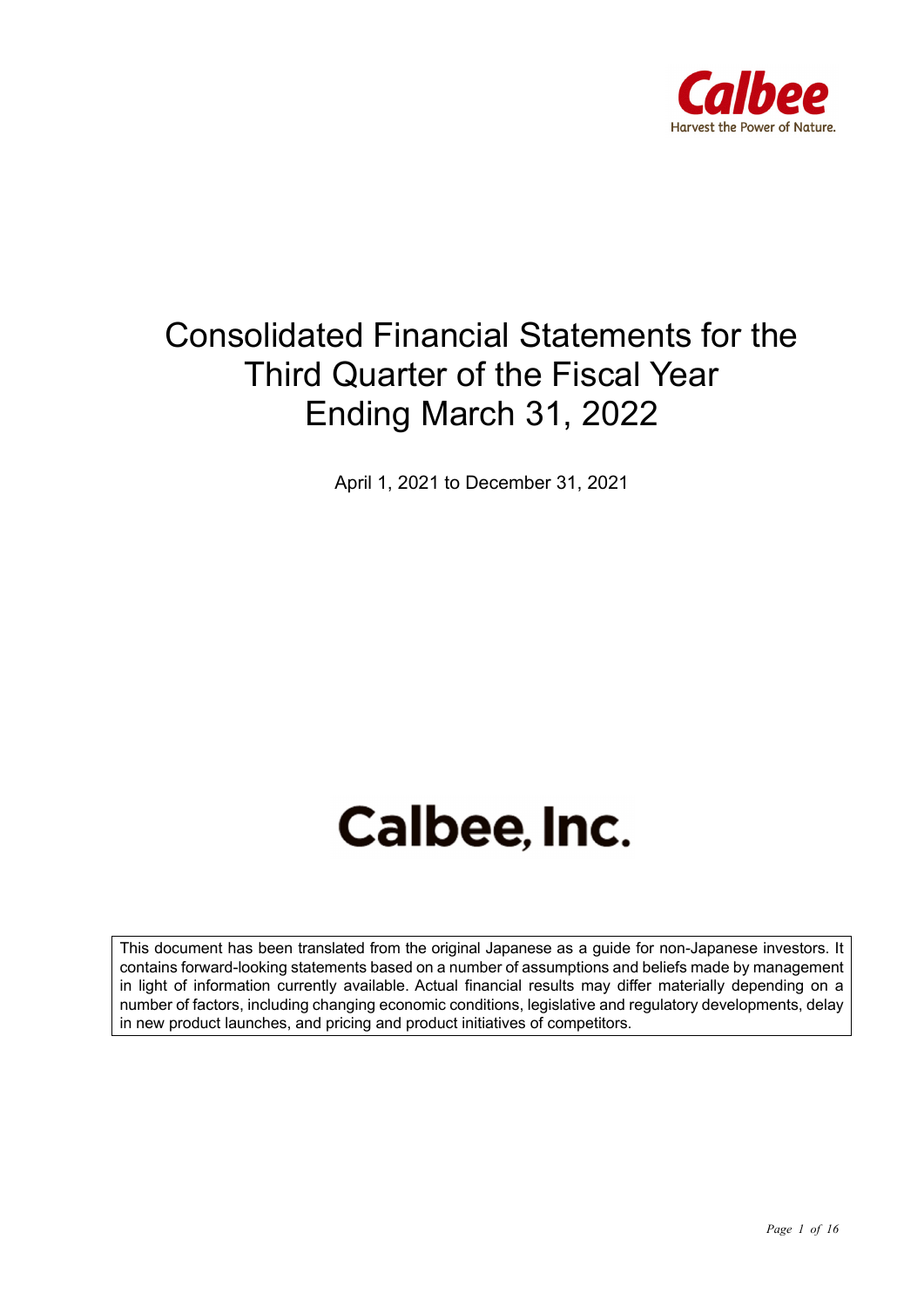

## Consolidated Financial Statements for the Third Quarter of the Fiscal Year Ending March 31, 2022

April 1, 2021 to December 31, 2021

# Calbee, Inc.

This document has been translated from the original Japanese as a guide for non-Japanese investors. It contains forward-looking statements based on a number of assumptions and beliefs made by management in light of information currently available. Actual financial results may differ materially depending on a number of factors, including changing economic conditions, legislative and regulatory developments, delay in new product launches, and pricing and product initiatives of competitors.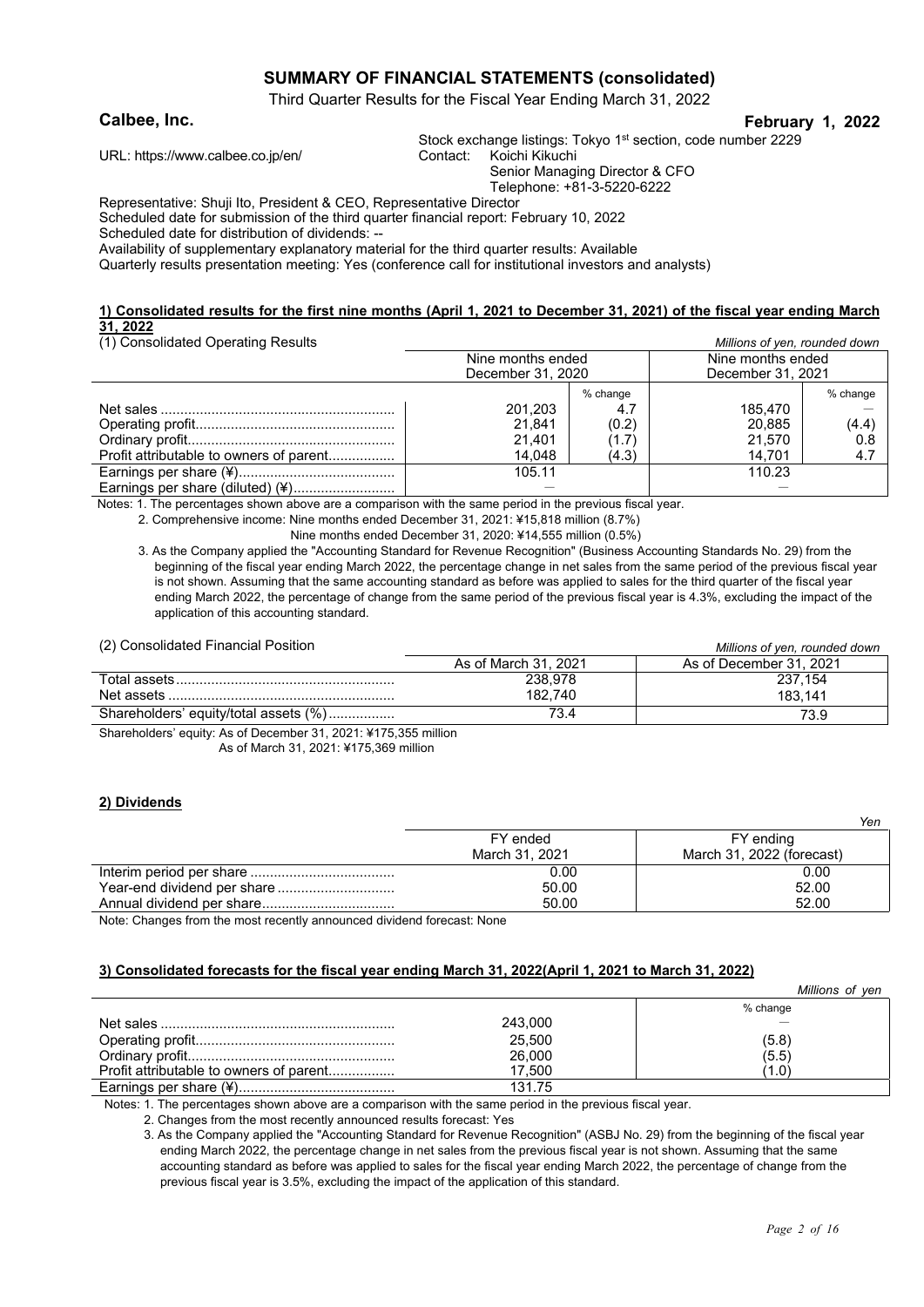#### **SUMMARY OF FINANCIAL STATEMENTS (consolidated)**

Third Quarter Results for the Fiscal Year Ending March 31, 2022

#### **Calbee, Inc. February 1, 2022**

Stock exchange listings: Tokyo 1<sup>st</sup> section, code number 2229

URL: https://www.calbee.co.jp/en/ Contact: Koichi Kikuchi

Senior Managing Director & CFO

Telephone: +81-3-5220-6222

Representative: Shuji Ito, President & CEO, Representative Director

Scheduled date for submission of the third quarter financial report: February 10, 2022

Scheduled date for distribution of dividends: --

Availability of supplementary explanatory material for the third quarter results: Available

Quarterly results presentation meeting: Yes (conference call for institutional investors and analysts)

#### **1) Consolidated results for the first nine months (April 1, 2021 to December 31, 2021) of the fiscal year ending March 31, 2022** (1) Consolidated Operating Results *Millions of yen, rounded down*

| (i) Consolidated Operating Results      |                   |                             |                   | <u>MINIONS OF YEAR TOUNGED QUINTI</u> |
|-----------------------------------------|-------------------|-----------------------------|-------------------|---------------------------------------|
|                                         | Nine months ended |                             | Nine months ended |                                       |
|                                         | December 31, 2020 |                             | December 31, 2021 |                                       |
|                                         |                   | % change                    |                   | % change                              |
|                                         | 201,203           | 4.7                         | 185.470           |                                       |
|                                         | 21.841            | (0.2)                       | 20.885            | (4.4)                                 |
|                                         | 21.401            | $^{\prime}$ 1.7 $^{\prime}$ | 21.570            | 0.8                                   |
| Profit attributable to owners of parent | 14,048            | (4.3)                       | 14.701            | 4.7                                   |
|                                         | 105.11            |                             | 110.23            |                                       |
| Earnings per share (diluted) (¥)        |                   |                             |                   |                                       |

Notes: 1. The percentages shown above are a comparison with the same period in the previous fiscal year.

2. Comprehensive income: Nine months ended December 31, 2021: ¥15,818 million (8.7%)

Nine months ended December 31, 2020: ¥14,555 million (0.5%)

3. As the Company applied the "Accounting Standard for Revenue Recognition" (Business Accounting Standards No. 29) from the beginning of the fiscal year ending March 2022, the percentage change in net sales from the same period of the previous fiscal year is not shown. Assuming that the same accounting standard as before was applied to sales for the third quarter of the fiscal year ending March 2022, the percentage of change from the same period of the previous fiscal year is 4.3%, excluding the impact of the application of this accounting standard.

(2) Consolidated Financial Position *Millions of yen, rounded down*

| \= , oonoonaatoa ; manoiar ; oonion ; | <u>Millions</u> of year, rounded down |                         |  |
|---------------------------------------|---------------------------------------|-------------------------|--|
|                                       | As of March 31, 2021                  | As of December 31, 2021 |  |
|                                       | 238.978                               | 237.154                 |  |
| Net assets                            | 182.740                               | 183.141                 |  |
| Shareholders' equity/total assets (%) |                                       | 73.9                    |  |

Shareholders' equity: As of December 31, 2021: ¥175,355 million As of March 31, 2021: ¥175,369 million

#### **2) Dividends**

|                | ,,,,                      |
|----------------|---------------------------|
| FY ended       | FY ending                 |
| March 31, 2021 | March 31, 2022 (forecast) |
| 0.00           | 0.00                      |
| 50.00          | 52.00                     |
| 50.00          | 52.00                     |
|                |                           |

Note: Changes from the most recently announced dividend forecast: None

#### **3) Consolidated forecasts for the fiscal year ending March 31, 2022(April 1, 2021 to March 31, 2022)**

|                                         |         | Millions of yen |
|-----------------------------------------|---------|-----------------|
|                                         |         | % change        |
|                                         | 243,000 |                 |
|                                         | 25,500  | (5.8)           |
|                                         | 26,000  | (5.5)           |
| Profit attributable to owners of parent | 17.500  | (1.0)           |
|                                         | 131.75  |                 |

Notes: 1. The percentages shown above are a comparison with the same period in the previous fiscal year.

2. Changes from the most recently announced results forecast: Yes

3. As the Company applied the "Accounting Standard for Revenue Recognition" (ASBJ No. 29) from the beginning of the fiscal year ending March 2022, the percentage change in net sales from the previous fiscal year is not shown. Assuming that the same accounting standard as before was applied to sales for the fiscal year ending March 2022, the percentage of change from the previous fiscal year is 3.5%, excluding the impact of the application of this standard.

*Yen*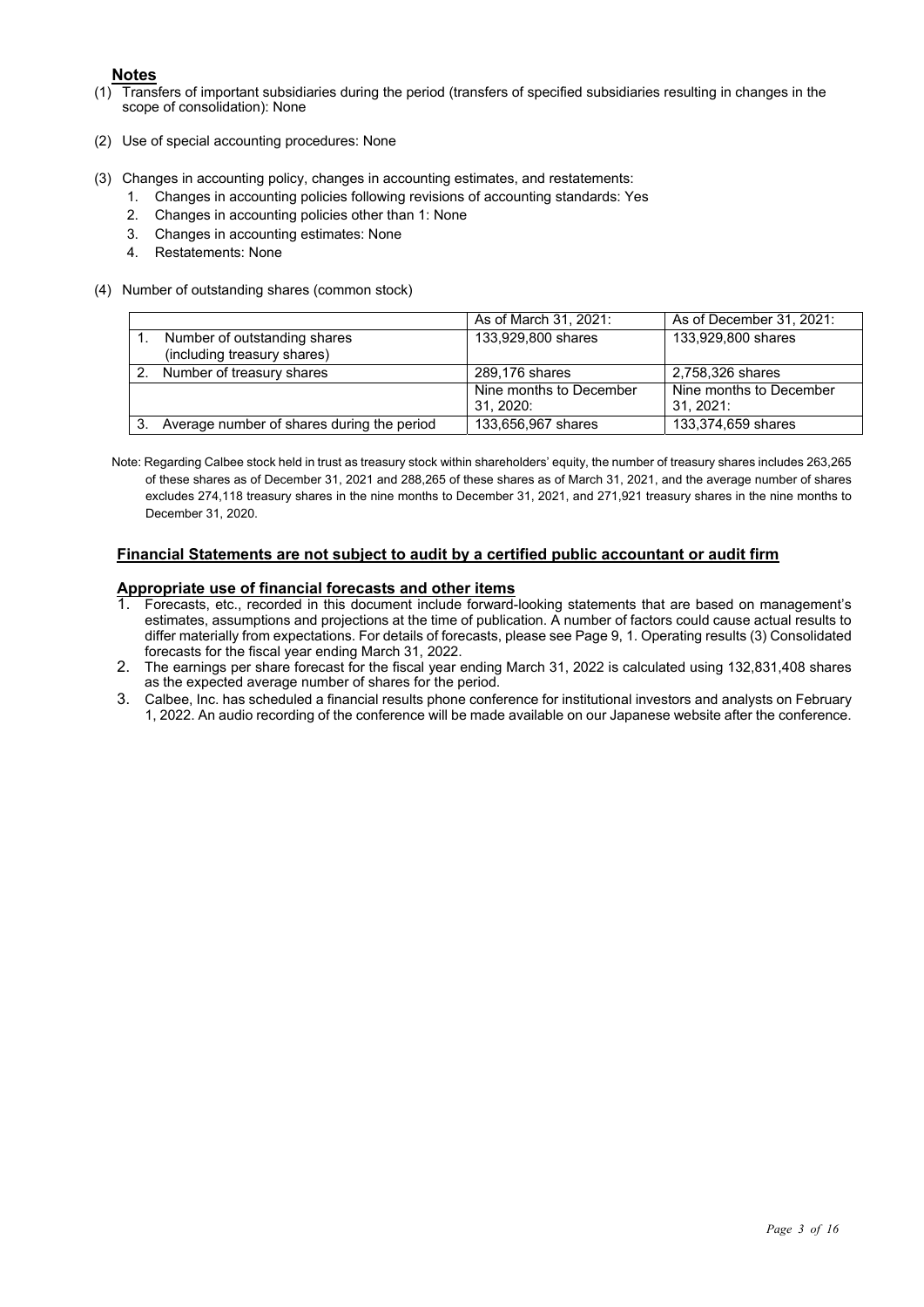- **Notes**<br>Trans (1) Transfers of important subsidiaries during the period (transfers of specified subsidiaries resulting in changes in the scope of consolidation): None
- (2) Use of special accounting procedures: None
- (3) Changes in accounting policy, changes in accounting estimates, and restatements:
	- 1. Changes in accounting policies following revisions of accounting standards: Yes
	- 2. Changes in accounting policies other than 1: None
	- 3. Changes in accounting estimates: None
	- 4. Restatements: None
- (4) Number of outstanding shares (common stock)

|    |                                            | As of March 31, 2021:   | As of December 31, 2021: |
|----|--------------------------------------------|-------------------------|--------------------------|
|    | Number of outstanding shares               | 133,929,800 shares      | 133,929,800 shares       |
|    | (including treasury shares)                |                         |                          |
|    | 2. Number of treasury shares               | 289,176 shares          | 2,758,326 shares         |
|    |                                            | Nine months to December | Nine months to December  |
|    |                                            | 31, 2020:               | 31. 2021:                |
| 3. | Average number of shares during the period | 133,656,967 shares      | 133,374,659 shares       |

Note: Regarding Calbee stock held in trust as treasury stock within shareholders' equity, the number of treasury shares includes 263,265 of these shares as of December 31, 2021 and 288,265 of these shares as of March 31, 2021, and the average number of shares excludes 274,118 treasury shares in the nine months to December 31, 2021, and 271,921 treasury shares in the nine months to December 31, 2020.

#### **Financial Statements are not subject to audit by a certified public accountant or audit firm**

#### **Appropriate use of financial forecasts and other items**

- 1. Forecasts, etc., recorded in this document include forward-looking statements that are based on management's estimates, assumptions and projections at the time of publication. A number of factors could cause actual results to differ materially from expectations. For details of forecasts, please see Page 9, 1. Operating results (3) Consolidated forecasts for the fiscal year ending March 31, 2022.
- 2. The earnings per share forecast for the fiscal year ending March 31, 2022 is calculated using 132,831,408 shares as the expected average number of shares for the period.
- 3. Calbee, Inc. has scheduled a financial results phone conference for institutional investors and analysts on February 1, 2022. An audio recording of the conference will be made available on our Japanese website after the conference.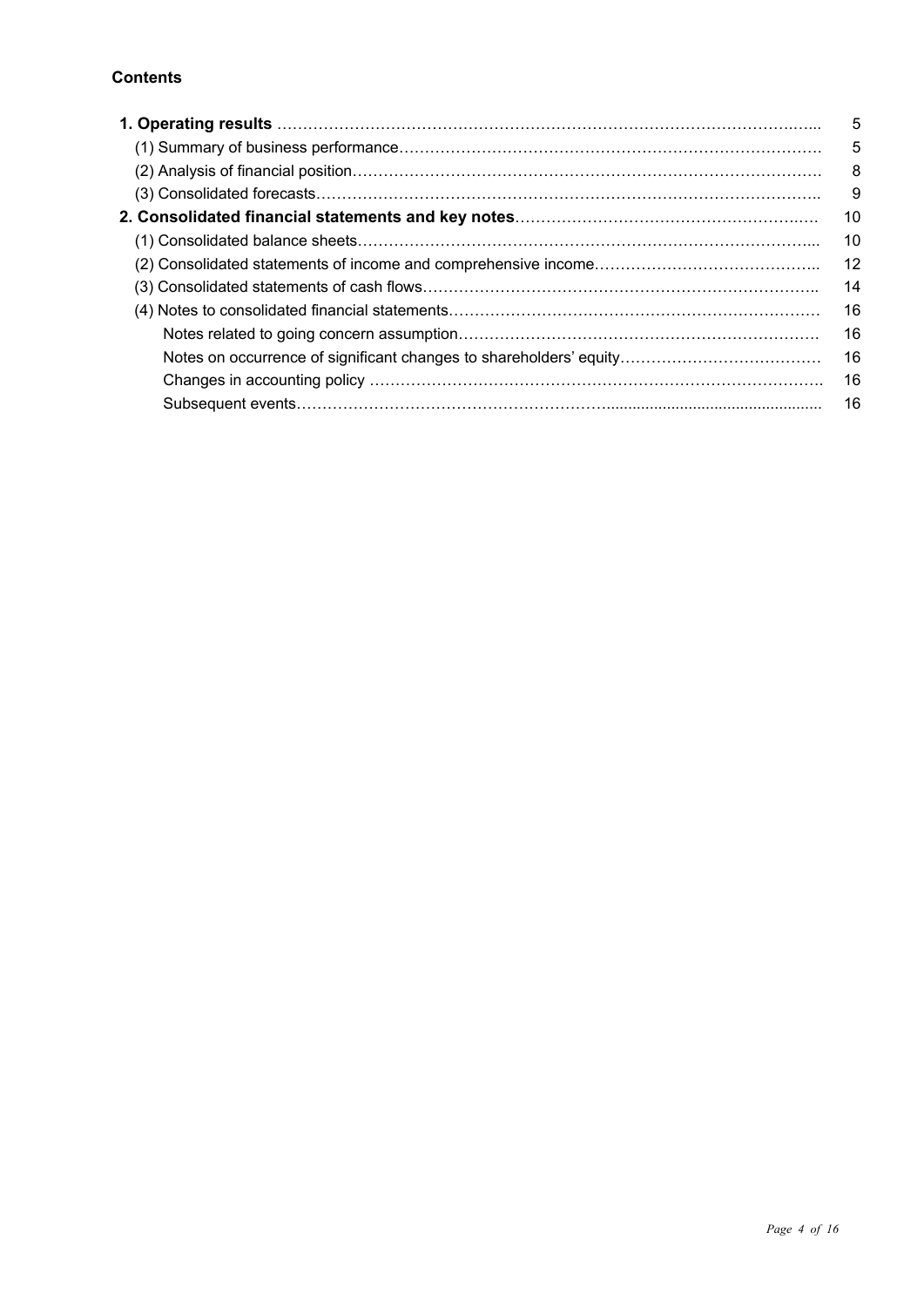#### **Contents**

| 1. Operating results …………………………………………………………………………………………… | 5  |
|----------------------------------------------------------|----|
|                                                          | 5  |
|                                                          | 8  |
|                                                          | 9  |
|                                                          | 10 |
|                                                          | 10 |
|                                                          | 12 |
|                                                          | 14 |
|                                                          | 16 |
|                                                          | 16 |
|                                                          | 16 |
|                                                          | 16 |
|                                                          | 16 |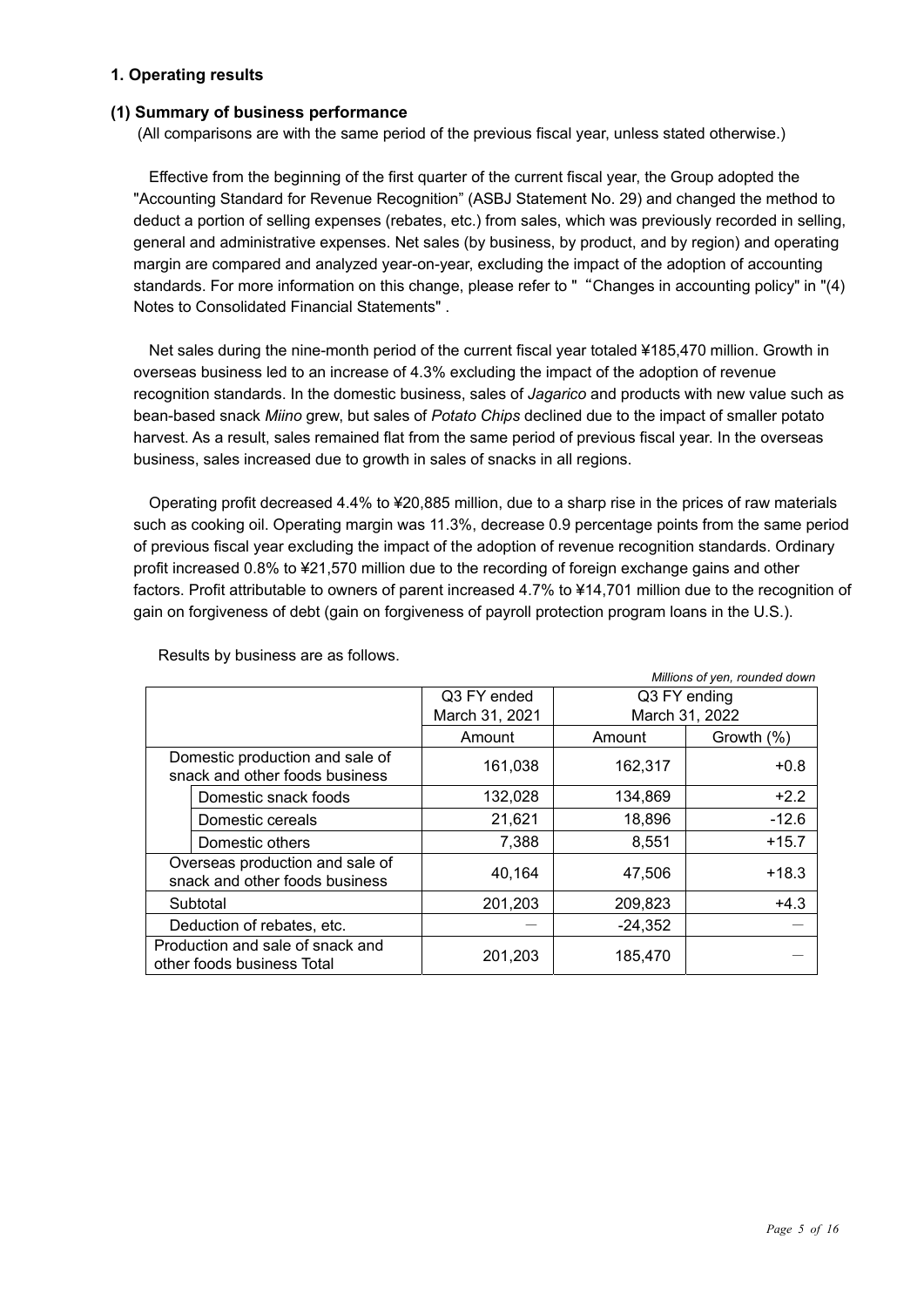#### **1. Operating results**

#### **(1) Summary of business performance**

(All comparisons are with the same period of the previous fiscal year, unless stated otherwise.)

Effective from the beginning of the first quarter of the current fiscal year, the Group adopted the "Accounting Standard for Revenue Recognition" (ASBJ Statement No. 29) and changed the method to deduct a portion of selling expenses (rebates, etc.) from sales, which was previously recorded in selling, general and administrative expenses. Net sales (by business, by product, and by region) and operating margin are compared and analyzed year-on-year, excluding the impact of the adoption of accounting standards. For more information on this change, please refer to ""Changes in accounting policy" in "(4) Notes to Consolidated Financial Statements" .

Net sales during the nine-month period of the current fiscal year totaled ¥185,470 million. Growth in overseas business led to an increase of 4.3% excluding the impact of the adoption of revenue recognition standards. In the domestic business, sales of *Jagarico* and products with new value such as bean-based snack *Miino* grew, but sales of *Potato Chips* declined due to the impact of smaller potato harvest. As a result, sales remained flat from the same period of previous fiscal year. In the overseas business, sales increased due to growth in sales of snacks in all regions.

Operating profit decreased 4.4% to ¥20,885 million, due to a sharp rise in the prices of raw materials such as cooking oil. Operating margin was 11.3%, decrease 0.9 percentage points from the same period of previous fiscal year excluding the impact of the adoption of revenue recognition standards. Ordinary profit increased 0.8% to ¥21,570 million due to the recording of foreign exchange gains and other factors. Profit attributable to owners of parent increased 4.7% to ¥14,701 million due to the recognition of gain on forgiveness of debt (gain on forgiveness of payroll protection program loans in the U.S.).

|                                                                   |                |                | Millions of yen, rounded down |
|-------------------------------------------------------------------|----------------|----------------|-------------------------------|
|                                                                   | Q3 FY ended    | Q3 FY ending   |                               |
|                                                                   | March 31, 2021 | March 31, 2022 |                               |
|                                                                   | Amount         | Amount         | Growth (%)                    |
| Domestic production and sale of<br>snack and other foods business | 161,038        | 162,317        | $+0.8$                        |
| Domestic snack foods                                              | 132,028        | 134,869        | $+2.2$                        |
| Domestic cereals                                                  | 21,621         | 18,896         | $-12.6$                       |
| Domestic others                                                   | 7,388          | 8,551          | $+15.7$                       |
| Overseas production and sale of<br>snack and other foods business | 40,164         | 47,506         | $+18.3$                       |
| Subtotal                                                          | 201,203        | 209,823        | $+4.3$                        |
| Deduction of rebates, etc.                                        |                | $-24,352$      |                               |
| Production and sale of snack and<br>other foods business Total    | 201,203        | 185,470        |                               |

Results by business are as follows.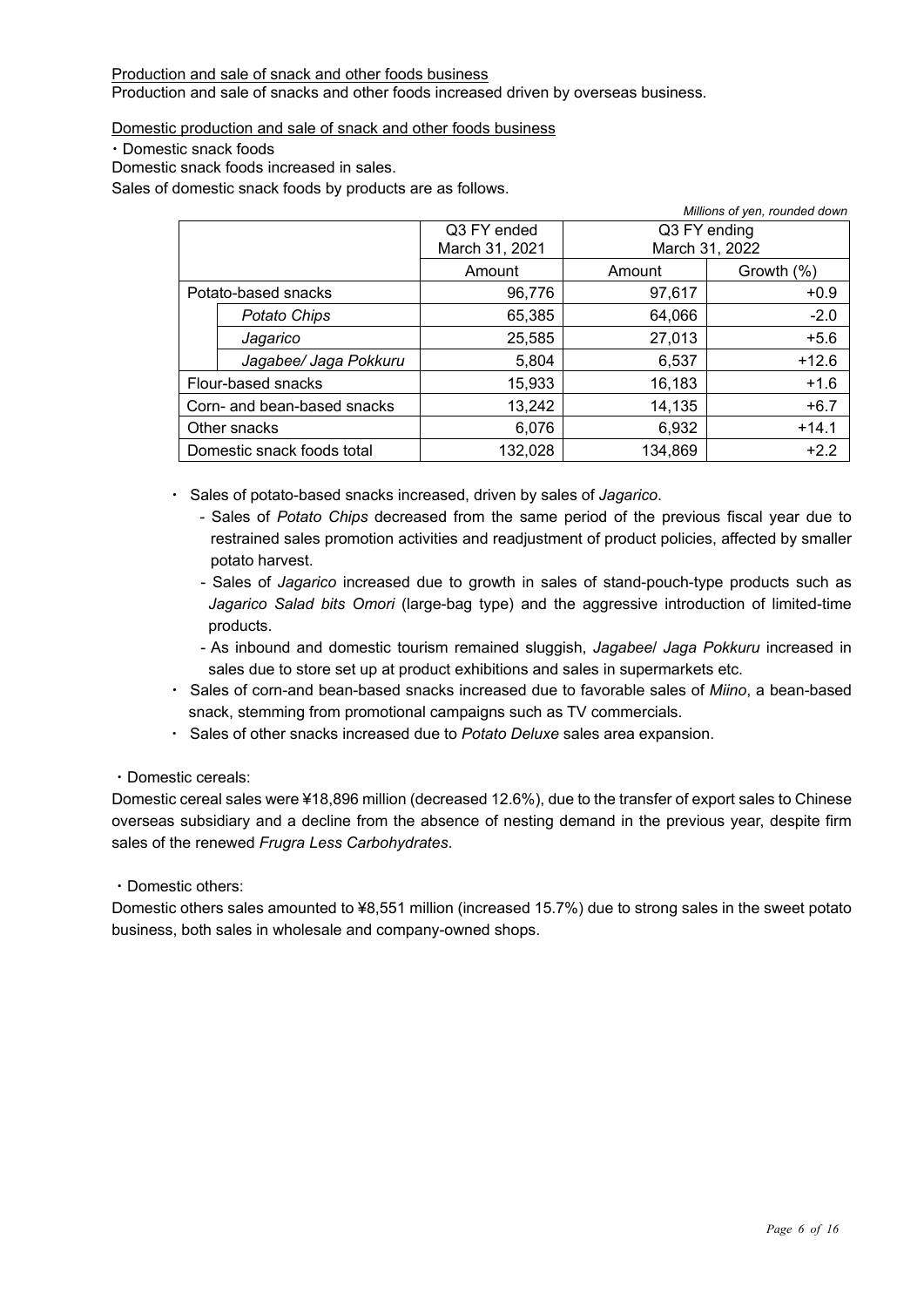#### Production and sale of snack and other foods business Production and sale of snacks and other foods increased driven by overseas business.

Domestic production and sale of snack and other foods business

・Domestic snack foods

Domestic snack foods increased in sales.

Sales of domestic snack foods by products are as follows.

|                             |                |                      | Millions of yen, rounded down |
|-----------------------------|----------------|----------------------|-------------------------------|
|                             | Q3 FY ended    | Q3 FY ending         |                               |
|                             | March 31, 2021 |                      | March 31, 2022                |
|                             | Amount         | Growth (%)<br>Amount |                               |
| Potato-based snacks         | 96,776         | 97,617               | $+0.9$                        |
| Potato Chips                | 65,385         | 64,066               | $-2.0$                        |
| Jagarico                    | 25,585         | 27,013               | $+5.6$                        |
| Jagabee/ Jaga Pokkuru       | 5,804          | 6,537                | $+12.6$                       |
| Flour-based snacks          | 15,933         | 16,183               | $+1.6$                        |
| Corn- and bean-based snacks | 13,242         | 14,135               | $+6.7$                        |
| Other snacks                | 6,076          | 6,932                | $+14.1$                       |
| Domestic snack foods total  | 132,028        | 134,869              | $+2.2$                        |

・ Sales of potato-based snacks increased, driven by sales of *Jagarico*.

- Sales of *Potato Chips* decreased from the same period of the previous fiscal year due to restrained sales promotion activities and readjustment of product policies, affected by smaller potato harvest.
- Sales of *Jagarico* increased due to growth in sales of stand-pouch-type products such as *Jagarico Salad bits Omori* (large-bag type) and the aggressive introduction of limited-time products.
- As inbound and domestic tourism remained sluggish, *Jagabee*/ *Jaga Pokkuru* increased in sales due to store set up at product exhibitions and sales in supermarkets etc.
- ・ Sales of corn-and bean-based snacks increased due to favorable sales of *Miino*, a bean-based snack, stemming from promotional campaigns such as TV commercials.
- ・ Sales of other snacks increased due to *Potato Deluxe* sales area expansion.

#### ・Domestic cereals:

Domestic cereal sales were ¥18,896 million (decreased 12.6%), due to the transfer of export sales to Chinese overseas subsidiary and a decline from the absence of nesting demand in the previous year, despite firm sales of the renewed *Frugra Less Carbohydrates*.

#### ・Domestic others:

Domestic others sales amounted to ¥8,551 million (increased 15.7%) due to strong sales in the sweet potato business, both sales in wholesale and company-owned shops.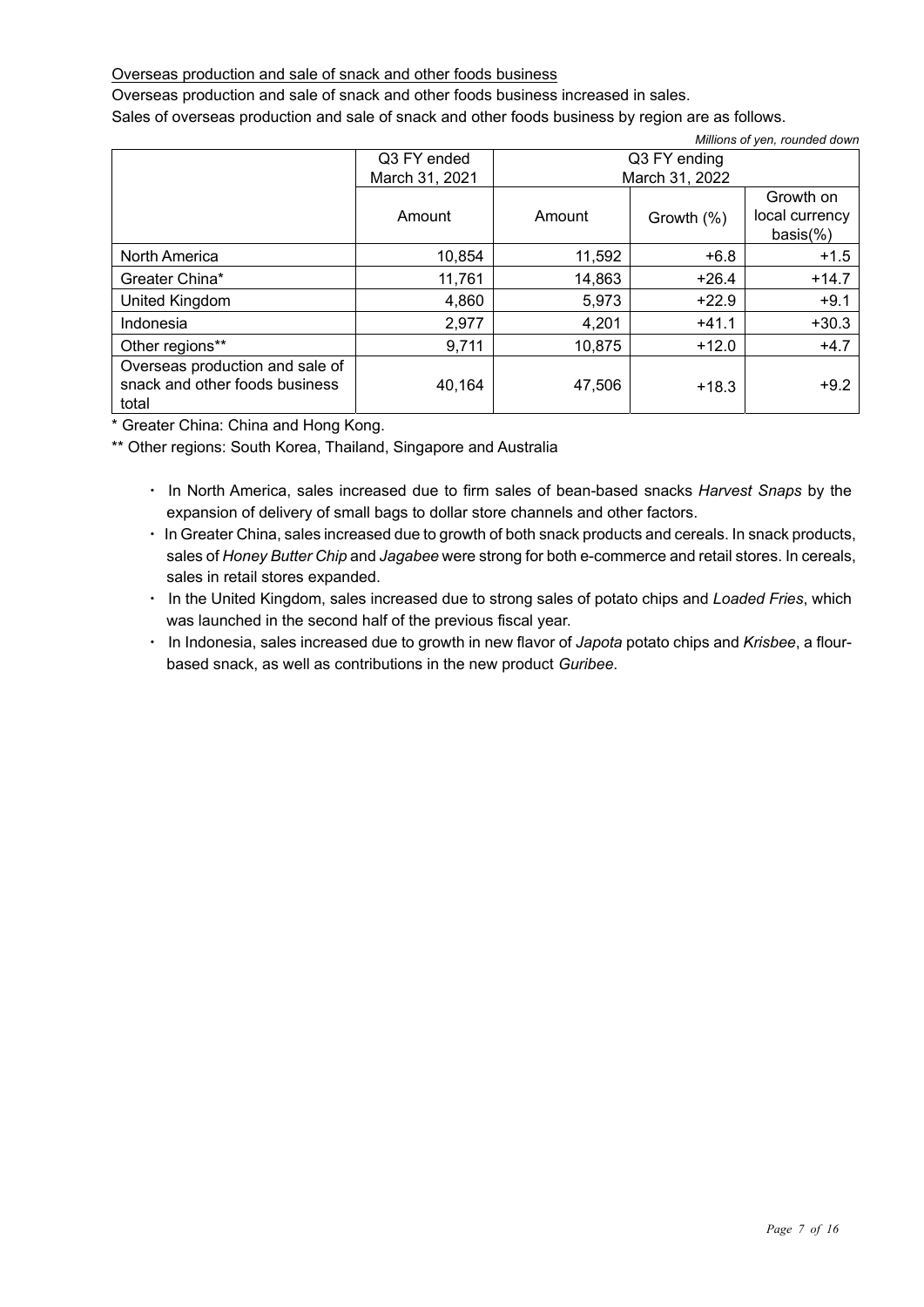#### Overseas production and sale of snack and other foods business

Overseas production and sale of snack and other foods business increased in sales.

Sales of overseas production and sale of snack and other foods business by region are as follows.

| Millions of yen, rounded down                                              |                |              |                |                                           |  |
|----------------------------------------------------------------------------|----------------|--------------|----------------|-------------------------------------------|--|
|                                                                            | Q3 FY ended    | Q3 FY ending |                |                                           |  |
|                                                                            | March 31, 2021 |              | March 31, 2022 |                                           |  |
|                                                                            | Amount         | Amount       | Growth (%)     | Growth on<br>local currency<br>$basis$ %) |  |
| North America                                                              | 10,854         | 11,592       | $+6.8$         | $+1.5$                                    |  |
| Greater China*                                                             | 11,761         | 14,863       | $+26.4$        | $+14.7$                                   |  |
| United Kingdom                                                             | 4,860          | 5,973        | $+22.9$        | $+9.1$                                    |  |
| Indonesia                                                                  | 2,977          | 4,201        | $+41.1$        | $+30.3$                                   |  |
| Other regions**                                                            | 9,711          | 10,875       | $+12.0$        | $+4.7$                                    |  |
| Overseas production and sale of<br>snack and other foods business<br>total | 40,164         | 47,506       | $+18.3$        | $+9.2$                                    |  |

\* Greater China: China and Hong Kong.

\*\* Other regions: South Korea, Thailand, Singapore and Australia

- ・ In North America, sales increased due to firm sales of bean-based snacks *Harvest Snaps* by the expansion of delivery of small bags to dollar store channels and other factors.
- ・ In Greater China, sales increased due to growth of both snack products and cereals. In snack products, sales of *Honey Butter Chip* and *Jagabee* were strong for both e-commerce and retail stores. In cereals, sales in retail stores expanded.
- ・ In the United Kingdom, sales increased due to strong sales of potato chips and *Loaded Fries*, which was launched in the second half of the previous fiscal year.
- ・ In Indonesia, sales increased due to growth in new flavor of *Japota* potato chips and *Krisbee*, a flourbased snack, as well as contributions in the new product *Guribee*.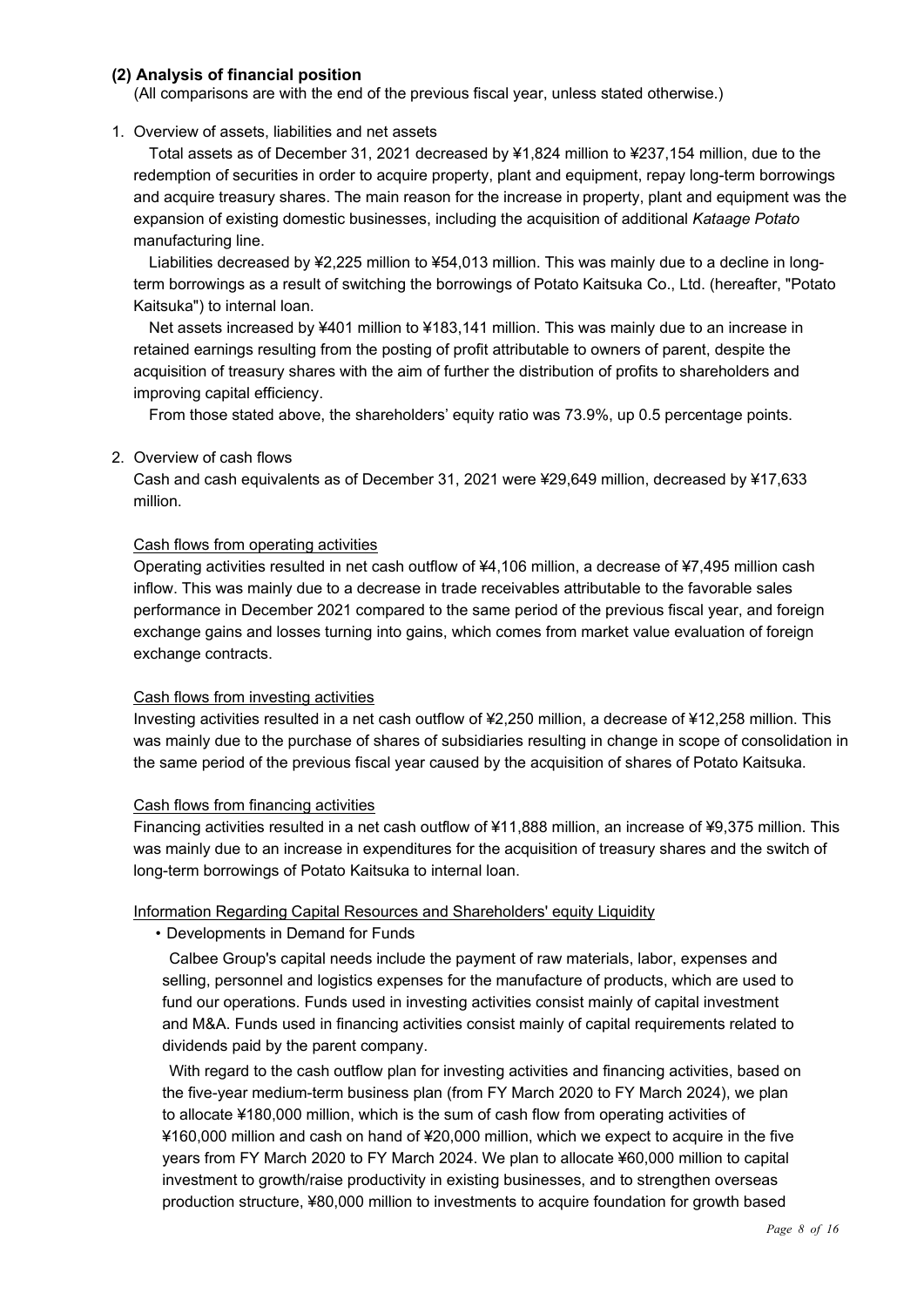#### **(2) Analysis of financial position**

(All comparisons are with the end of the previous fiscal year, unless stated otherwise.)

#### 1. Overview of assets, liabilities and net assets

Total assets as of December 31, 2021 decreased by ¥1,824 million to ¥237,154 million, due to the redemption of securities in order to acquire property, plant and equipment, repay long-term borrowings and acquire treasury shares. The main reason for the increase in property, plant and equipment was the expansion of existing domestic businesses, including the acquisition of additional *Kataage Potato* manufacturing line.

Liabilities decreased by ¥2,225 million to ¥54,013 million. This was mainly due to a decline in longterm borrowings as a result of switching the borrowings of Potato Kaitsuka Co., Ltd. (hereafter, "Potato Kaitsuka") to internal loan.

Net assets increased by ¥401 million to ¥183,141 million. This was mainly due to an increase in retained earnings resulting from the posting of profit attributable to owners of parent, despite the acquisition of treasury shares with the aim of further the distribution of profits to shareholders and improving capital efficiency.

From those stated above, the shareholders' equity ratio was 73.9%, up 0.5 percentage points.

#### 2. Overview of cash flows

Cash and cash equivalents as of December 31, 2021 were ¥29,649 million, decreased by ¥17,633 million.

#### Cash flows from operating activities

Operating activities resulted in net cash outflow of ¥4,106 million, a decrease of ¥7,495 million cash inflow. This was mainly due to a decrease in trade receivables attributable to the favorable sales performance in December 2021 compared to the same period of the previous fiscal year, and foreign exchange gains and losses turning into gains, which comes from market value evaluation of foreign exchange contracts.

#### Cash flows from investing activities

Investing activities resulted in a net cash outflow of ¥2,250 million, a decrease of ¥12,258 million. This was mainly due to the purchase of shares of subsidiaries resulting in change in scope of consolidation in the same period of the previous fiscal year caused by the acquisition of shares of Potato Kaitsuka.

#### Cash flows from financing activities

Financing activities resulted in a net cash outflow of ¥11,888 million, an increase of ¥9,375 million. This was mainly due to an increase in expenditures for the acquisition of treasury shares and the switch of long-term borrowings of Potato Kaitsuka to internal loan.

#### Information Regarding Capital Resources and Shareholders' equity Liquidity

• Developments in Demand for Funds

Calbee Group's capital needs include the payment of raw materials, labor, expenses and selling, personnel and logistics expenses for the manufacture of products, which are used to fund our operations. Funds used in investing activities consist mainly of capital investment and M&A. Funds used in financing activities consist mainly of capital requirements related to dividends paid by the parent company.

With regard to the cash outflow plan for investing activities and financing activities, based on the five-year medium-term business plan (from FY March 2020 to FY March 2024), we plan to allocate ¥180,000 million, which is the sum of cash flow from operating activities of ¥160,000 million and cash on hand of ¥20,000 million, which we expect to acquire in the five years from FY March 2020 to FY March 2024. We plan to allocate ¥60,000 million to capital investment to growth/raise productivity in existing businesses, and to strengthen overseas production structure, ¥80,000 million to investments to acquire foundation for growth based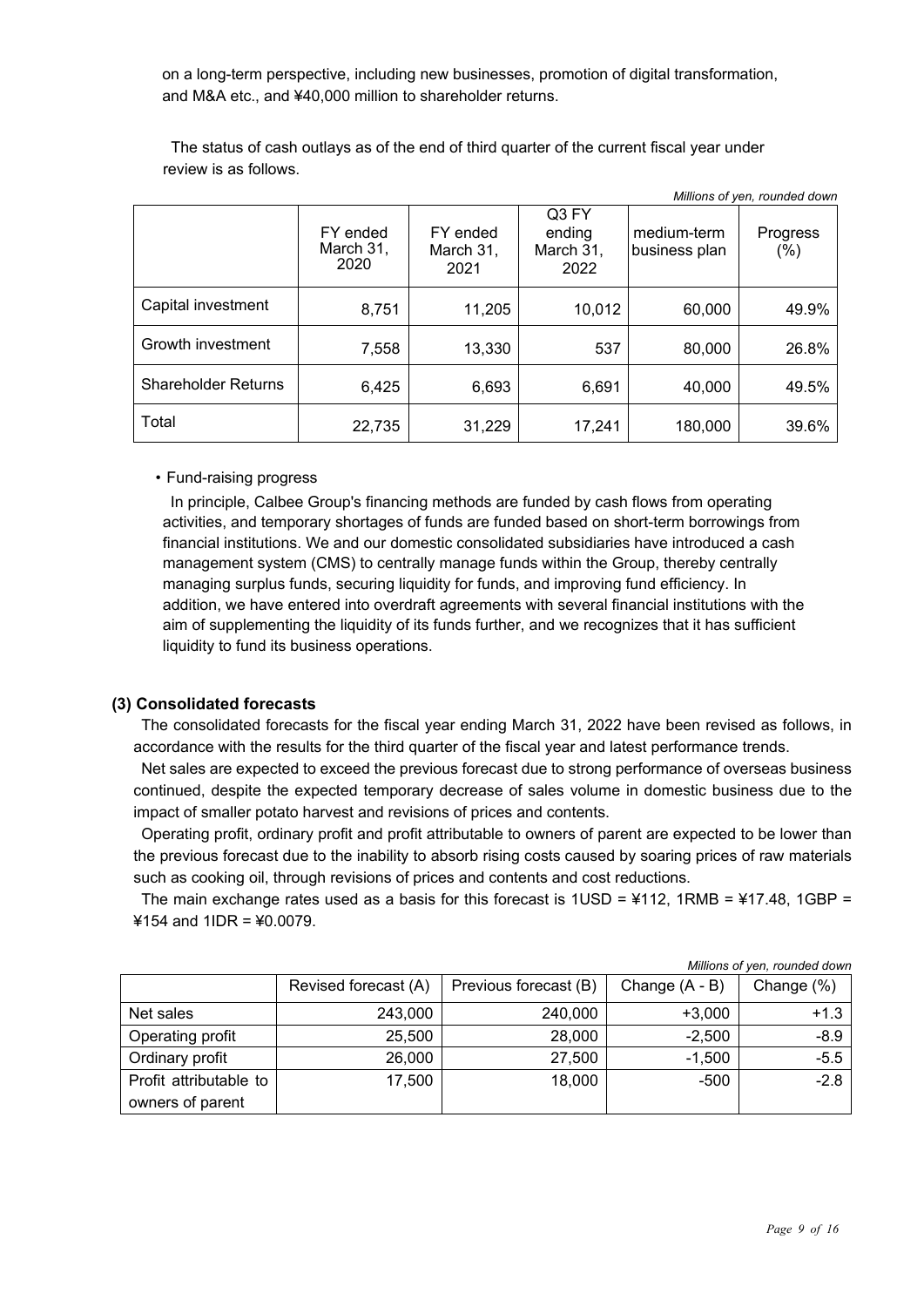on a long-term perspective, including new businesses, promotion of digital transformation, and M&A etc., and ¥40,000 million to shareholder returns.

The status of cash outlays as of the end of third quarter of the current fiscal year under review is as follows.

|                            |                               |                               |                                      |                              | Millions of yen, rounded down |
|----------------------------|-------------------------------|-------------------------------|--------------------------------------|------------------------------|-------------------------------|
|                            | FY ended<br>March 31,<br>2020 | FY ended<br>March 31,<br>2021 | Q3 FY<br>ending<br>March 31,<br>2022 | medium-term<br>business plan | Progress<br>(%)               |
| Capital investment         | 8,751                         | 11,205                        | 10,012                               | 60,000                       | 49.9%                         |
| Growth investment          | 7,558                         | 13,330                        | 537                                  | 80,000                       | 26.8%                         |
| <b>Shareholder Returns</b> | 6,425                         | 6,693                         | 6,691                                | 40,000                       | 49.5%                         |
| Total                      | 22,735                        | 31,229                        | 17,241                               | 180,000                      | 39.6%                         |

• Fund-raising progress

In principle, Calbee Group's financing methods are funded by cash flows from operating activities, and temporary shortages of funds are funded based on short-term borrowings from financial institutions. We and our domestic consolidated subsidiaries have introduced a cash management system (CMS) to centrally manage funds within the Group, thereby centrally managing surplus funds, securing liquidity for funds, and improving fund efficiency. In addition, we have entered into overdraft agreements with several financial institutions with the aim of supplementing the liquidity of its funds further, and we recognizes that it has sufficient liquidity to fund its business operations.

#### **(3) Consolidated forecasts**

The consolidated forecasts for the fiscal year ending March 31, 2022 have been revised as follows, in accordance with the results for the third quarter of the fiscal year and latest performance trends.

Net sales are expected to exceed the previous forecast due to strong performance of overseas business continued, despite the expected temporary decrease of sales volume in domestic business due to the impact of smaller potato harvest and revisions of prices and contents.

Operating profit, ordinary profit and profit attributable to owners of parent are expected to be lower than the previous forecast due to the inability to absorb rising costs caused by soaring prices of raw materials such as cooking oil, through revisions of prices and contents and cost reductions.

The main exchange rates used as a basis for this forecast is  $1USD = 4112$ ,  $1RMB = 417.48$ ,  $1GBP =$ ¥154 and 1IDR = ¥0.0079.

|                        |                      |                       |                  | Millions of yen, rounded down |
|------------------------|----------------------|-----------------------|------------------|-------------------------------|
|                        | Revised forecast (A) | Previous forecast (B) | Change $(A - B)$ | Change (%)                    |
| Net sales              | 243,000              | 240,000               | $+3,000$         | $+1.3$                        |
| Operating profit       | 25,500               | 28,000                | $-2,500$         | $-8.9$                        |
| Ordinary profit        | 26,000               | 27,500                | $-1,500$         | $-5.5$                        |
| Profit attributable to | 17,500               | 18,000                | $-500$           | $-2.8$                        |
| owners of parent       |                      |                       |                  |                               |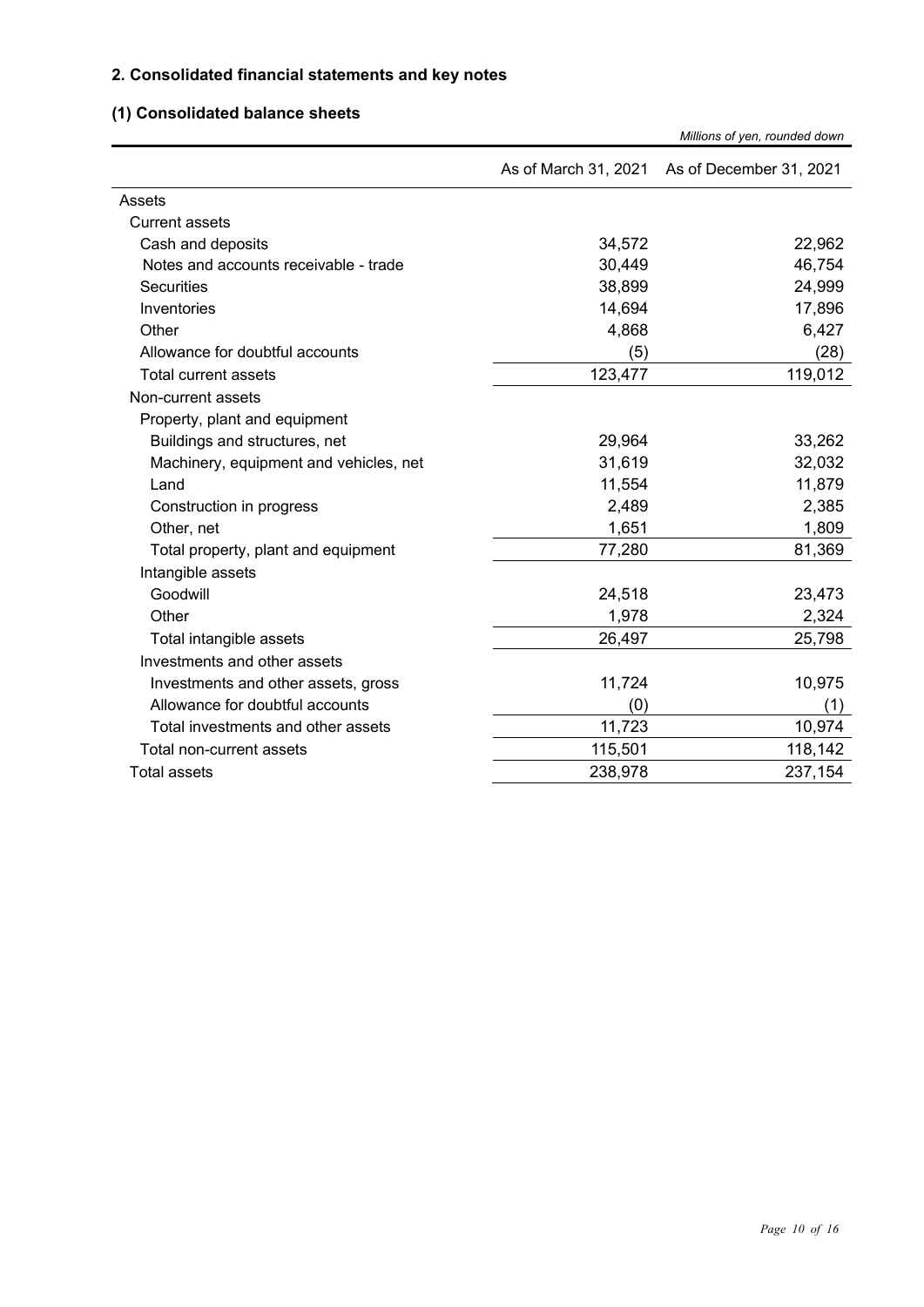## **2. Consolidated financial statements and key notes**

### **(1) Consolidated balance sheets**

|                                        |                      | Millions of yen, rounded down |
|----------------------------------------|----------------------|-------------------------------|
|                                        | As of March 31, 2021 | As of December 31, 2021       |
| Assets                                 |                      |                               |
| <b>Current assets</b>                  |                      |                               |
| Cash and deposits                      | 34,572               | 22,962                        |
| Notes and accounts receivable - trade  | 30,449               | 46,754                        |
| <b>Securities</b>                      | 38,899               | 24,999                        |
| Inventories                            | 14,694               | 17,896                        |
| Other                                  | 4,868                | 6,427                         |
| Allowance for doubtful accounts        | (5)                  | (28)                          |
| Total current assets                   | 123,477              | 119,012                       |
| Non-current assets                     |                      |                               |
| Property, plant and equipment          |                      |                               |
| Buildings and structures, net          | 29,964               | 33,262                        |
| Machinery, equipment and vehicles, net | 31,619               | 32,032                        |
| Land                                   | 11,554               | 11,879                        |
| Construction in progress               | 2,489                | 2,385                         |
| Other, net                             | 1,651                | 1,809                         |
| Total property, plant and equipment    | 77,280               | 81,369                        |
| Intangible assets                      |                      |                               |
| Goodwill                               | 24,518               | 23,473                        |
| Other                                  | 1,978                | 2,324                         |
| Total intangible assets                | 26,497               | 25,798                        |
| Investments and other assets           |                      |                               |
| Investments and other assets, gross    | 11,724               | 10,975                        |
| Allowance for doubtful accounts        | (0)                  | (1)                           |
| Total investments and other assets     | 11,723               | 10,974                        |
| Total non-current assets               | 115,501              | 118,142                       |
| <b>Total assets</b>                    | 238,978              | 237,154                       |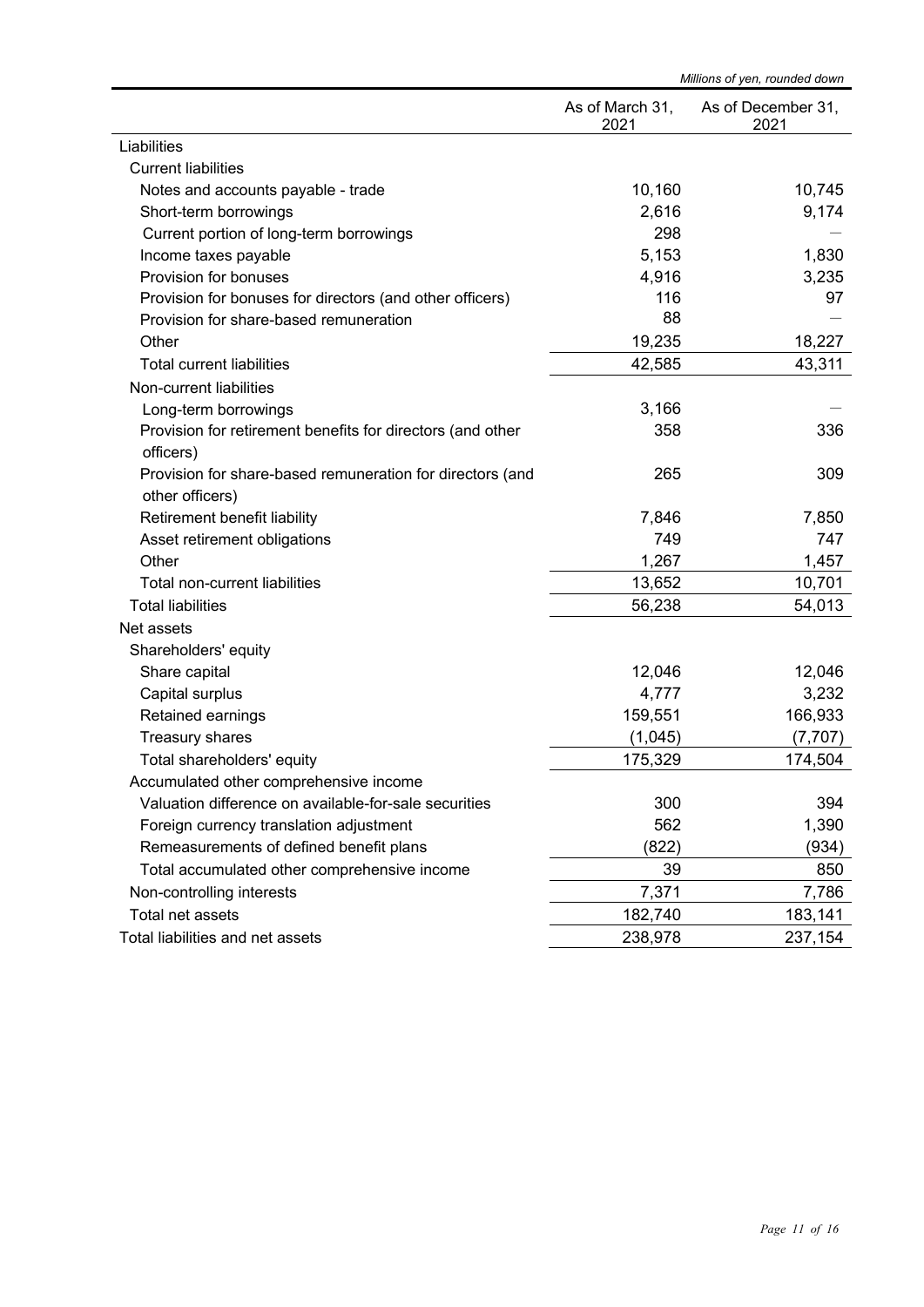|                                                            | Millions of yen, rounded down |                            |
|------------------------------------------------------------|-------------------------------|----------------------------|
|                                                            | As of March 31,<br>2021       | As of December 31,<br>2021 |
| Liabilities                                                |                               |                            |
| <b>Current liabilities</b>                                 |                               |                            |
| Notes and accounts payable - trade                         | 10,160                        | 10,745                     |
| Short-term borrowings                                      | 2,616                         | 9,174                      |
| Current portion of long-term borrowings                    | 298                           |                            |
| Income taxes payable                                       | 5,153                         | 1,830                      |
| Provision for bonuses                                      | 4,916                         | 3,235                      |
| Provision for bonuses for directors (and other officers)   | 116                           | 97                         |
| Provision for share-based remuneration                     | 88                            |                            |
| Other                                                      | 19,235                        | 18,227                     |
| <b>Total current liabilities</b>                           | 42,585                        | 43,311                     |
| Non-current liabilities                                    |                               |                            |
| Long-term borrowings                                       | 3,166                         |                            |
| Provision for retirement benefits for directors (and other | 358                           | 336                        |
| officers)                                                  |                               |                            |
| Provision for share-based remuneration for directors (and  | 265                           | 309                        |
| other officers)                                            |                               |                            |
| Retirement benefit liability                               | 7,846                         | 7,850                      |
| Asset retirement obligations                               | 749                           | 747                        |
| Other                                                      | 1,267                         | 1,457                      |
| Total non-current liabilities                              | 13,652                        | 10,701                     |
| <b>Total liabilities</b>                                   | 56,238                        | 54,013                     |
| Net assets                                                 |                               |                            |
| Shareholders' equity                                       |                               |                            |
| Share capital                                              | 12,046                        | 12,046                     |
| Capital surplus                                            | 4,777                         | 3,232                      |
| Retained earnings                                          | 159,551                       | 166,933                    |
| Treasury shares                                            | (1,045)                       | (7, 707)                   |
| Total shareholders' equity                                 | 175,329                       | 174,504                    |
| Accumulated other comprehensive income                     |                               |                            |
| Valuation difference on available-for-sale securities      | 300                           | 394                        |
| Foreign currency translation adjustment                    | 562                           | 1,390                      |
| Remeasurements of defined benefit plans                    | (822)                         | (934)                      |
| Total accumulated other comprehensive income               | 39                            | 850                        |
| Non-controlling interests                                  | 7,371                         | 7,786                      |
| Total net assets                                           | 182,740                       | 183,141                    |
| Total liabilities and net assets                           | 238,978                       | 237,154                    |
|                                                            |                               |                            |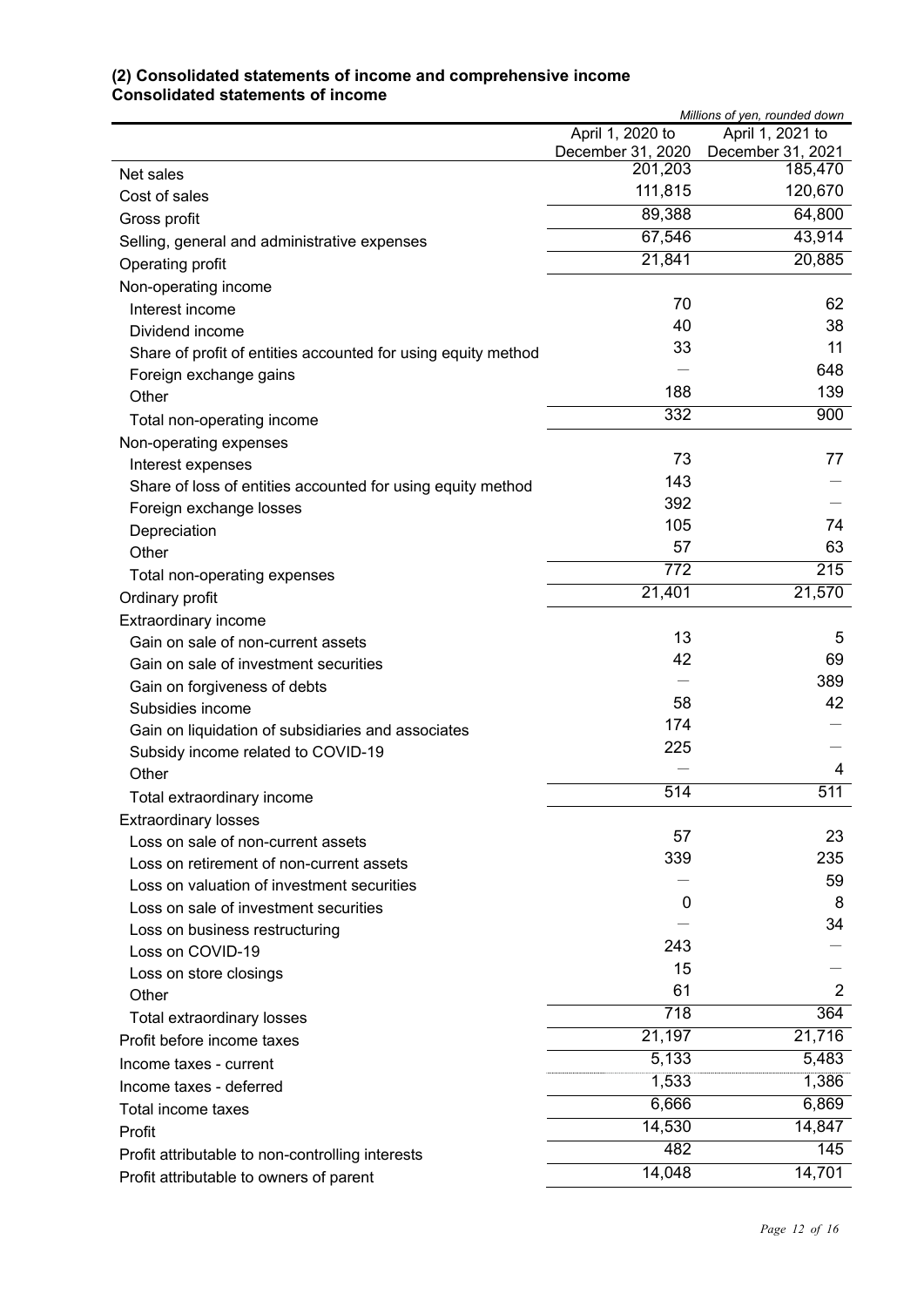#### **(2) Consolidated statements of income and comprehensive income Consolidated statements of income**

|                                                               | Millions of yen, rounded down |                              |  |
|---------------------------------------------------------------|-------------------------------|------------------------------|--|
|                                                               | April 1, 2020 to              | April 1, 2021 to             |  |
|                                                               | December 31, 2020<br>201,203  | December 31, 2021<br>185,470 |  |
| Net sales                                                     | 111,815                       | 120,670                      |  |
| Cost of sales                                                 | 89,388                        | 64,800                       |  |
| Gross profit                                                  | 67,546                        | 43,914                       |  |
| Selling, general and administrative expenses                  |                               |                              |  |
| Operating profit                                              | 21,841                        | 20,885                       |  |
| Non-operating income                                          |                               |                              |  |
| Interest income                                               | 70                            | 62                           |  |
| Dividend income                                               | 40                            | 38                           |  |
| Share of profit of entities accounted for using equity method | 33                            | 11                           |  |
| Foreign exchange gains                                        |                               | 648                          |  |
| Other                                                         | 188                           | 139                          |  |
| Total non-operating income                                    | $\overline{332}$              | 900                          |  |
| Non-operating expenses                                        |                               |                              |  |
| Interest expenses                                             | 73                            | 77                           |  |
| Share of loss of entities accounted for using equity method   | 143                           |                              |  |
| Foreign exchange losses                                       | 392                           |                              |  |
| Depreciation                                                  | 105                           | 74                           |  |
| Other                                                         | 57                            | 63                           |  |
| Total non-operating expenses                                  | 772                           | 215                          |  |
| Ordinary profit                                               | 21,401                        | 21,570                       |  |
| Extraordinary income                                          |                               |                              |  |
| Gain on sale of non-current assets                            | 13                            | 5                            |  |
| Gain on sale of investment securities                         | 42                            | 69                           |  |
| Gain on forgiveness of debts                                  |                               | 389                          |  |
| Subsidies income                                              | 58                            | 42                           |  |
| Gain on liquidation of subsidiaries and associates            | 174                           |                              |  |
| Subsidy income related to COVID-19                            | 225                           |                              |  |
| Other                                                         |                               | 4                            |  |
| Total extraordinary income                                    | 514                           | 511                          |  |
| <b>Extraordinary losses</b>                                   |                               |                              |  |
| Loss on sale of non-current assets                            | 57                            | 23                           |  |
| Loss on retirement of non-current assets                      | 339                           | 235                          |  |
| Loss on valuation of investment securities                    |                               | 59                           |  |
| Loss on sale of investment securities                         | 0                             | 8                            |  |
| Loss on business restructuring                                |                               | 34                           |  |
| Loss on COVID-19                                              | 243                           |                              |  |
| Loss on store closings                                        | 15                            |                              |  |
| Other                                                         | 61                            | 2                            |  |
| Total extraordinary losses                                    | $\overline{718}$              | 364                          |  |
| Profit before income taxes                                    | 21,197                        | 21,716                       |  |
| Income taxes - current                                        | 5,133                         | 5,483                        |  |
| Income taxes - deferred                                       | 1,533                         | 1,386                        |  |
| Total income taxes                                            | 6,666                         | 6,869                        |  |
| Profit                                                        | 14,530                        | 14,847                       |  |
| Profit attributable to non-controlling interests              | 482                           | 145                          |  |
| Profit attributable to owners of parent                       | 14,048                        | 14,701                       |  |
|                                                               |                               |                              |  |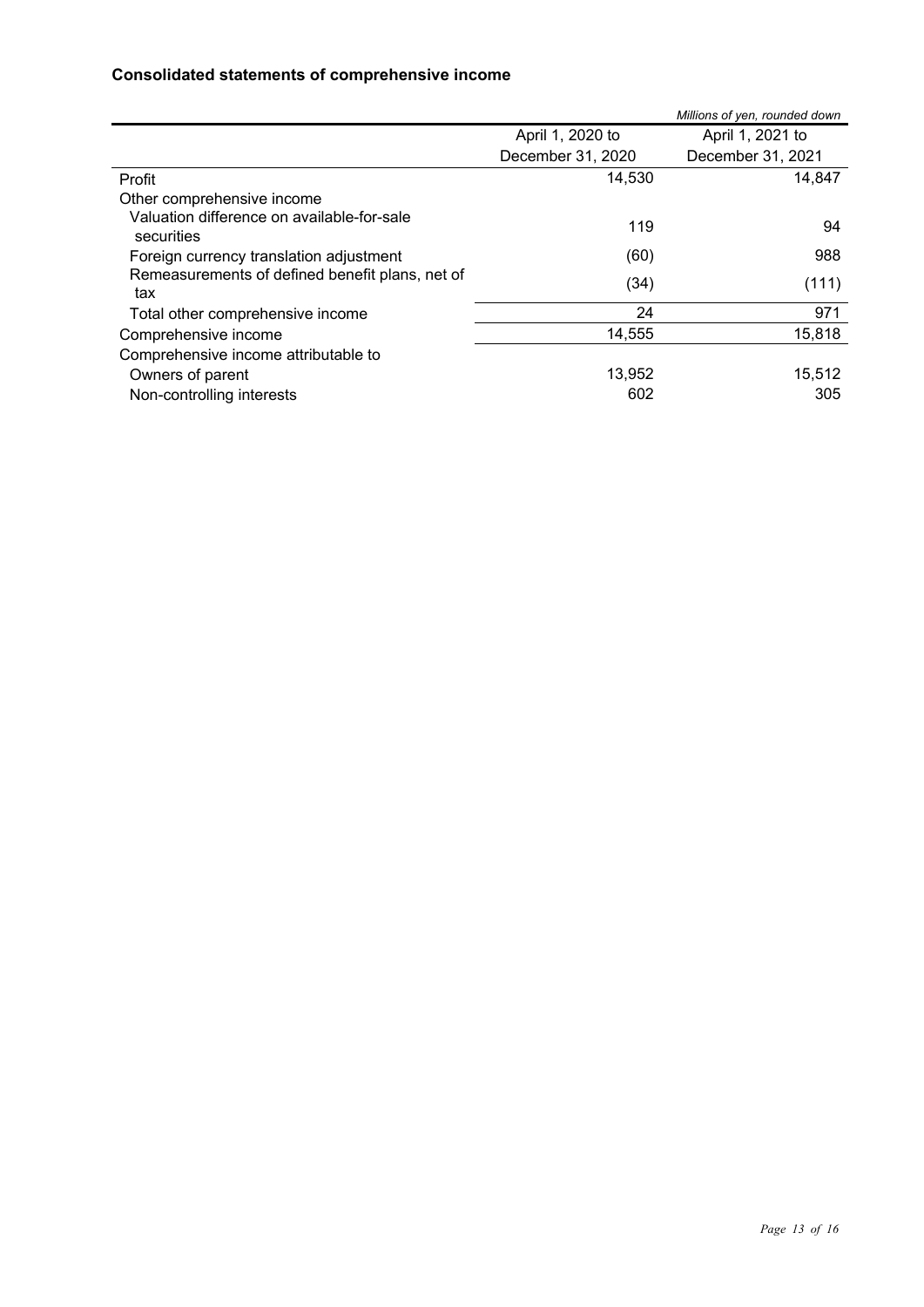#### **Consolidated statements of comprehensive income**

|                                                          |                   | Millions of yen, rounded down |
|----------------------------------------------------------|-------------------|-------------------------------|
|                                                          | April 1, 2020 to  | April 1, 2021 to              |
|                                                          | December 31, 2020 | December 31, 2021             |
| Profit                                                   | 14,530            | 14,847                        |
| Other comprehensive income                               |                   |                               |
| Valuation difference on available-for-sale<br>securities | 119               | 94                            |
| Foreign currency translation adjustment                  | (60)              | 988                           |
| Remeasurements of defined benefit plans, net of<br>tax   | (34)              | (111)                         |
| Total other comprehensive income                         | 24                | 971                           |
| Comprehensive income                                     | 14,555            | 15,818                        |
| Comprehensive income attributable to                     |                   |                               |
| Owners of parent                                         | 13,952            | 15,512                        |
| Non-controlling interests                                | 602               | 305                           |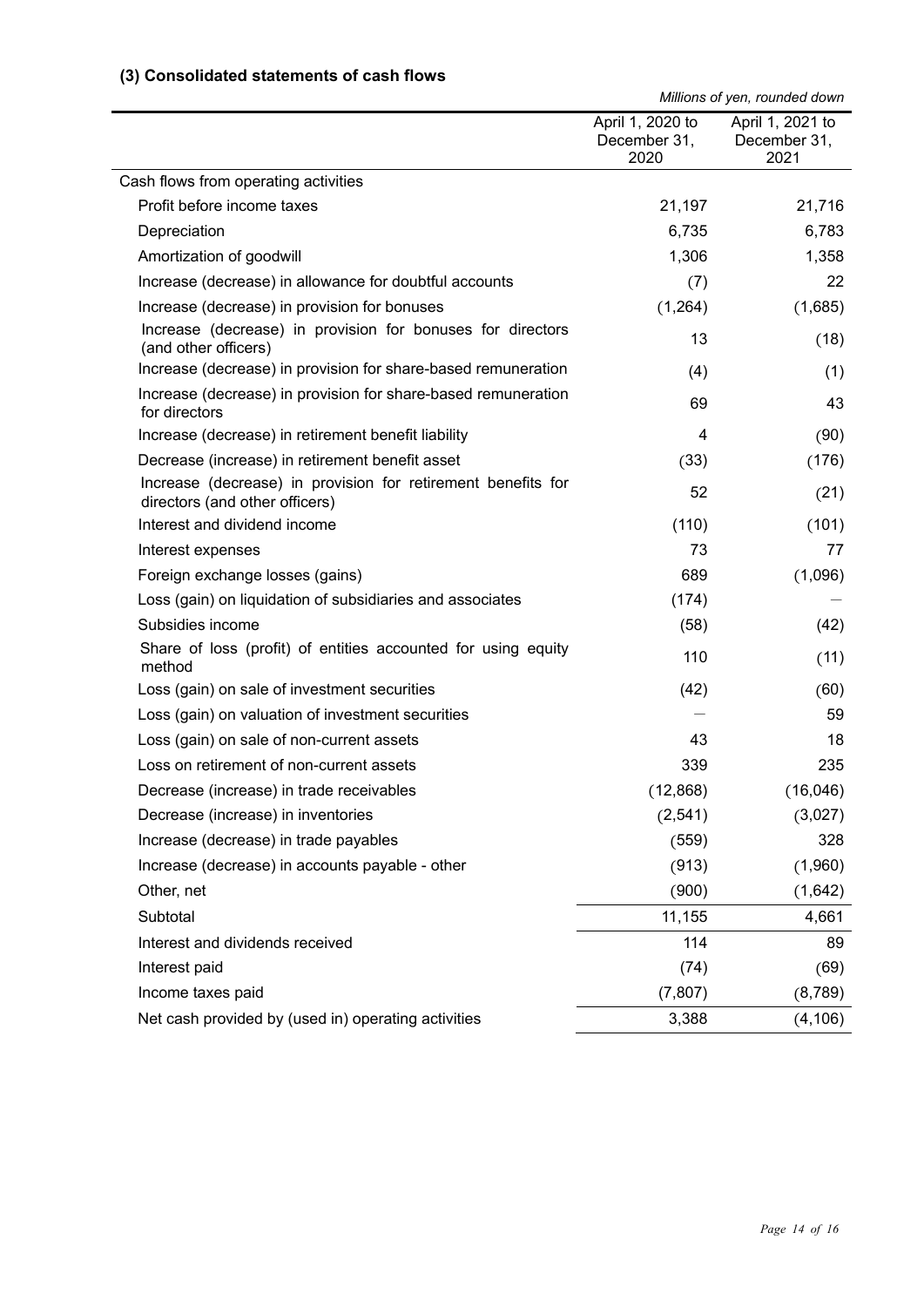#### **(3) Consolidated statements of cash flows**

*Millions of yen, rounded down*

|                                                                                                | April 1, 2020 to<br>December 31,<br>2020 | April 1, 2021 to<br>December 31,<br>2021 |
|------------------------------------------------------------------------------------------------|------------------------------------------|------------------------------------------|
| Cash flows from operating activities                                                           |                                          |                                          |
| Profit before income taxes                                                                     | 21,197                                   | 21,716                                   |
| Depreciation                                                                                   | 6,735                                    | 6,783                                    |
| Amortization of goodwill                                                                       | 1,306                                    | 1,358                                    |
| Increase (decrease) in allowance for doubtful accounts                                         | (7)                                      | 22                                       |
| Increase (decrease) in provision for bonuses                                                   | (1,264)                                  | (1,685)                                  |
| Increase (decrease) in provision for bonuses for directors<br>(and other officers)             | 13                                       | (18)                                     |
| Increase (decrease) in provision for share-based remuneration                                  | (4)                                      | (1)                                      |
| Increase (decrease) in provision for share-based remuneration<br>for directors                 | 69                                       | 43                                       |
| Increase (decrease) in retirement benefit liability                                            | 4                                        | (90)                                     |
| Decrease (increase) in retirement benefit asset                                                | (33)                                     | (176)                                    |
| Increase (decrease) in provision for retirement benefits for<br>directors (and other officers) | 52                                       | (21)                                     |
| Interest and dividend income                                                                   | (110)                                    | (101)                                    |
| Interest expenses                                                                              | 73                                       | 77                                       |
| Foreign exchange losses (gains)                                                                | 689                                      | (1,096)                                  |
| Loss (gain) on liquidation of subsidiaries and associates                                      | (174)                                    |                                          |
| Subsidies income                                                                               | (58)                                     | (42)                                     |
| Share of loss (profit) of entities accounted for using equity<br>method                        | 110                                      | (11)                                     |
| Loss (gain) on sale of investment securities                                                   | (42)                                     | (60)                                     |
| Loss (gain) on valuation of investment securities                                              |                                          | 59                                       |
| Loss (gain) on sale of non-current assets                                                      | 43                                       | 18                                       |
| Loss on retirement of non-current assets                                                       | 339                                      | 235                                      |
| Decrease (increase) in trade receivables                                                       | (12, 868)                                | (16, 046)                                |
| Decrease (increase) in inventories                                                             | (2, 541)                                 | (3,027)                                  |
| Increase (decrease) in trade payables                                                          | (559)                                    | 328                                      |
| Increase (decrease) in accounts payable - other                                                | (913)                                    | (1,960)                                  |
| Other, net                                                                                     | (900)                                    | (1,642)                                  |
| Subtotal                                                                                       | 11,155                                   | 4,661                                    |
| Interest and dividends received                                                                | 114                                      | 89                                       |
| Interest paid                                                                                  | (74)                                     | (69)                                     |
| Income taxes paid                                                                              | (7, 807)                                 | (8,789)                                  |
| Net cash provided by (used in) operating activities                                            | 3,388                                    | (4, 106)                                 |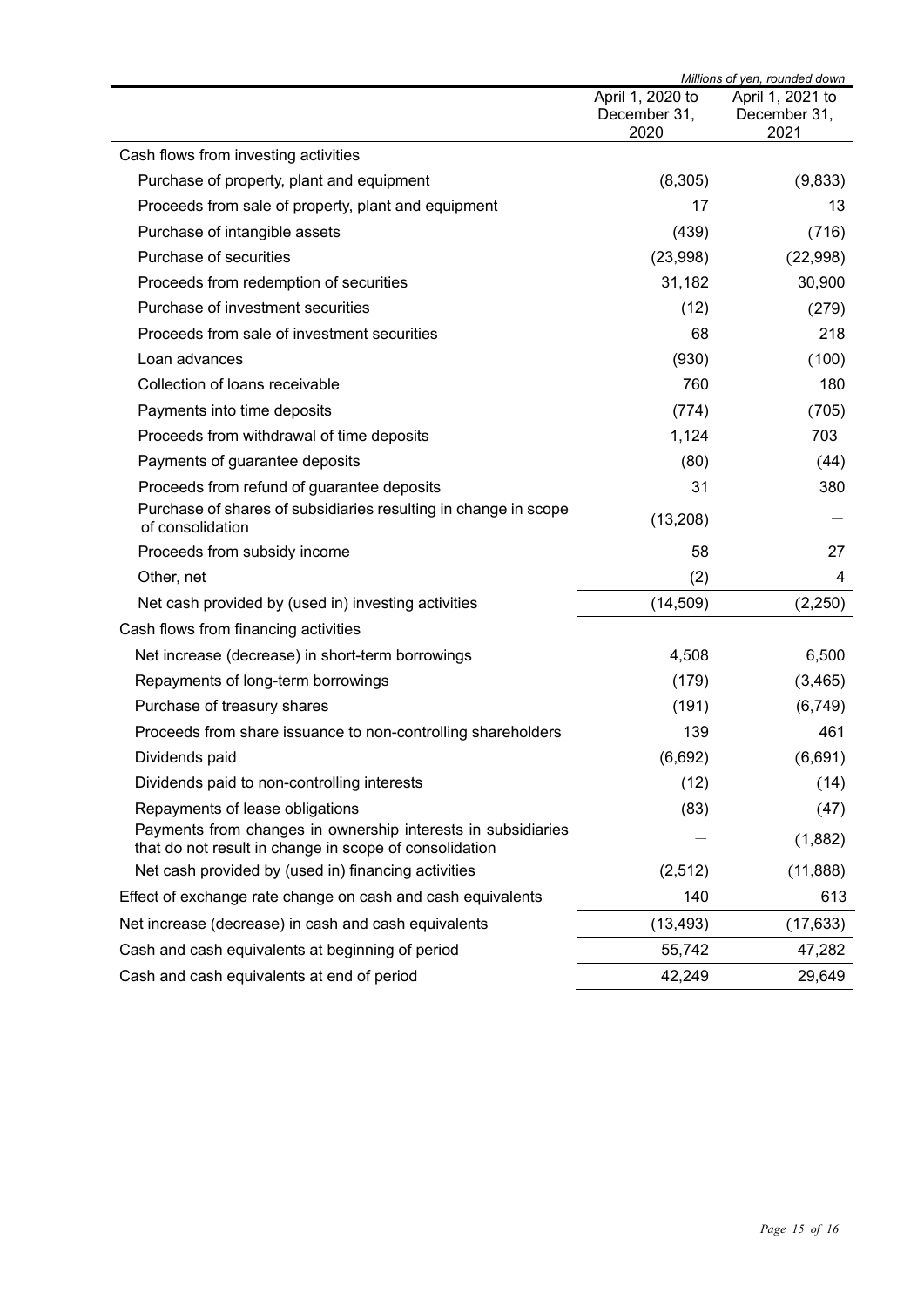|                                                                                                                        | Millions of yen, rounded down            |                                          |
|------------------------------------------------------------------------------------------------------------------------|------------------------------------------|------------------------------------------|
|                                                                                                                        | April 1, 2020 to<br>December 31,<br>2020 | April 1, 2021 to<br>December 31,<br>2021 |
| Cash flows from investing activities                                                                                   |                                          |                                          |
| Purchase of property, plant and equipment                                                                              | (8,305)                                  | (9,833)                                  |
| Proceeds from sale of property, plant and equipment                                                                    | 17                                       | 13                                       |
| Purchase of intangible assets                                                                                          | (439)                                    | (716)                                    |
| Purchase of securities                                                                                                 | (23,998)                                 | (22,998)                                 |
| Proceeds from redemption of securities                                                                                 | 31,182                                   | 30,900                                   |
| Purchase of investment securities                                                                                      | (12)                                     | (279)                                    |
| Proceeds from sale of investment securities                                                                            | 68                                       | 218                                      |
| Loan advances                                                                                                          | (930)                                    | (100)                                    |
| Collection of loans receivable                                                                                         | 760                                      | 180                                      |
| Payments into time deposits                                                                                            | (774)                                    | (705)                                    |
| Proceeds from withdrawal of time deposits                                                                              | 1,124                                    | 703                                      |
| Payments of guarantee deposits                                                                                         | (80)                                     | (44)                                     |
| Proceeds from refund of guarantee deposits                                                                             | 31                                       | 380                                      |
| Purchase of shares of subsidiaries resulting in change in scope<br>of consolidation                                    | (13, 208)                                |                                          |
| Proceeds from subsidy income                                                                                           | 58                                       | 27                                       |
| Other, net                                                                                                             | (2)                                      | 4                                        |
| Net cash provided by (used in) investing activities                                                                    | (14, 509)                                | (2,250)                                  |
| Cash flows from financing activities                                                                                   |                                          |                                          |
| Net increase (decrease) in short-term borrowings                                                                       | 4,508                                    | 6,500                                    |
| Repayments of long-term borrowings                                                                                     | (179)                                    | (3, 465)                                 |
| Purchase of treasury shares                                                                                            | (191)                                    | (6, 749)                                 |
| Proceeds from share issuance to non-controlling shareholders                                                           | 139                                      | 461                                      |
| Dividends paid                                                                                                         | (6,692)                                  | (6,691)                                  |
| Dividends paid to non-controlling interests                                                                            | (12)                                     | (14)                                     |
| Repayments of lease obligations                                                                                        | (83)                                     | (47)                                     |
| Payments from changes in ownership interests in subsidiaries<br>that do not result in change in scope of consolidation |                                          | (1,882)                                  |
| Net cash provided by (used in) financing activities                                                                    | (2,512)                                  | (11, 888)                                |
| Effect of exchange rate change on cash and cash equivalents                                                            | 140                                      | 613                                      |
| Net increase (decrease) in cash and cash equivalents                                                                   | (13, 493)                                | (17, 633)                                |
| Cash and cash equivalents at beginning of period                                                                       | 55,742                                   | 47,282                                   |
| Cash and cash equivalents at end of period                                                                             | 42,249                                   | 29,649                                   |